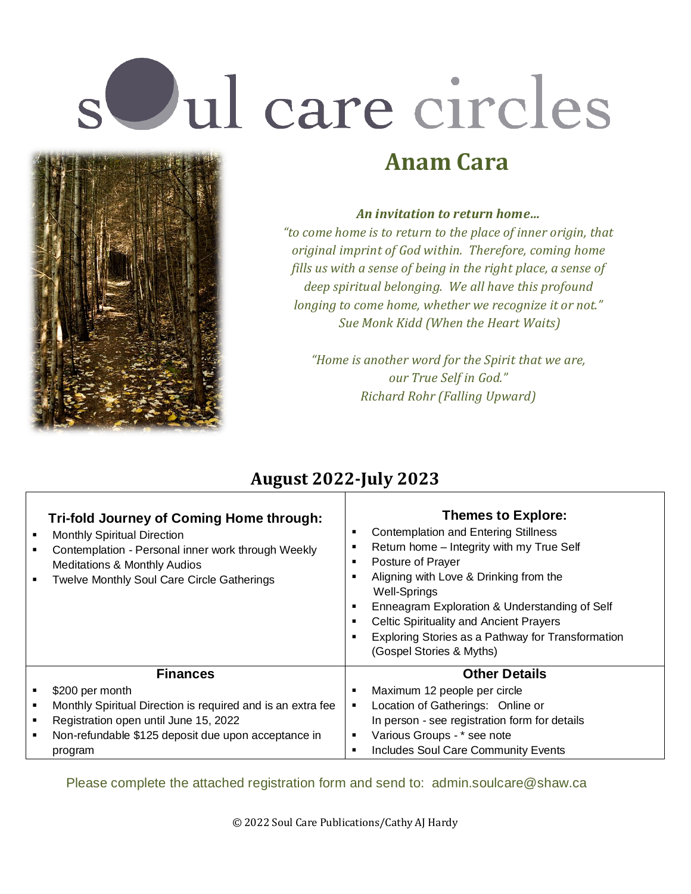# s Jul care circles



#### *An invitation to return home…*

**Anam Cara**

*"to come home is to return to the place of inner origin, that original imprint of God within. Therefore, coming home fills us with a sense of being in the right place, a sense of deep spiritual belonging. We all have this profound longing to come home, whether we recognize it or not." Sue Monk Kidd (When the Heart Waits)*

*"Home is another word for the Spirit that we are, our True Self in God." Richard Rohr (Falling Upward)*

# **August 2022-July 2023**

| Tri-fold Journey of Coming Home through:<br><b>Monthly Spiritual Direction</b><br>Contemplation - Personal inner work through Weekly<br><b>Meditations &amp; Monthly Audios</b><br><b>Twelve Monthly Soul Care Circle Gatherings</b> | <b>Themes to Explore:</b><br><b>Contemplation and Entering Stillness</b><br>Return home - Integrity with my True Self<br>Posture of Prayer<br>Aligning with Love & Drinking from the<br><b>Well-Springs</b><br>Enneagram Exploration & Understanding of Self<br><b>Celtic Spirituality and Ancient Prayers</b><br>Exploring Stories as a Pathway for Transformation<br>(Gospel Stories & Myths) |
|--------------------------------------------------------------------------------------------------------------------------------------------------------------------------------------------------------------------------------------|-------------------------------------------------------------------------------------------------------------------------------------------------------------------------------------------------------------------------------------------------------------------------------------------------------------------------------------------------------------------------------------------------|
| <b>Finances</b>                                                                                                                                                                                                                      | <b>Other Details</b>                                                                                                                                                                                                                                                                                                                                                                            |
| \$200 per month                                                                                                                                                                                                                      | Maximum 12 people per circle                                                                                                                                                                                                                                                                                                                                                                    |
| Monthly Spiritual Direction is required and is an extra fee                                                                                                                                                                          | Location of Gatherings: Online or                                                                                                                                                                                                                                                                                                                                                               |
| Registration open until June 15, 2022                                                                                                                                                                                                | In person - see registration form for details                                                                                                                                                                                                                                                                                                                                                   |
| Non-refundable \$125 deposit due upon acceptance in                                                                                                                                                                                  | Various Groups - * see note<br>٠                                                                                                                                                                                                                                                                                                                                                                |
| program                                                                                                                                                                                                                              | Includes Soul Care Community Events                                                                                                                                                                                                                                                                                                                                                             |

Please complete the attached registration form and send to: admin.soulcare@shaw.ca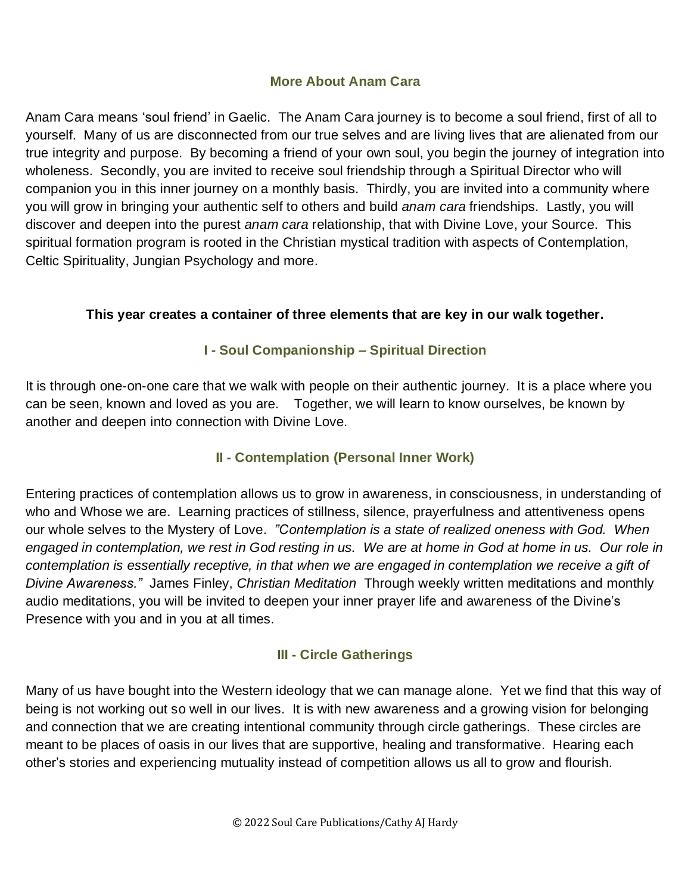#### **More About Anam Cara**

Anam Cara means 'soul friend' in Gaelic. The Anam Cara journey is to become a soul friend, first of all to yourself. Many of us are disconnected from our true selves and are living lives that are alienated from our true integrity and purpose. By becoming a friend of your own soul, you begin the journey of integration into wholeness. Secondly, you are invited to receive soul friendship through a Spiritual Director who will companion you in this inner journey on a monthly basis. Thirdly, you are invited into a community where you will grow in bringing your authentic self to others and build *anam cara* friendships. Lastly, you will discover and deepen into the purest *anam cara* relationship, that with Divine Love, your Source. This spiritual formation program is rooted in the Christian mystical tradition with aspects of Contemplation, Celtic Spirituality, Jungian Psychology and more.

#### **This year creates a container of three elements that are key in our walk together.**

#### **I - Soul Companionship – Spiritual Direction**

It is through one-on-one care that we walk with people on their authentic journey. It is a place where you can be seen, known and loved as you are. Together, we will learn to know ourselves, be known by another and deepen into connection with Divine Love.

## **II - Contemplation (Personal Inner Work)**

Entering practices of contemplation allows us to grow in awareness, in consciousness, in understanding of who and Whose we are. Learning practices of stillness, silence, prayerfulness and attentiveness opens our whole selves to the Mystery of Love. *"Contemplation is a state of realized oneness with God. When* engaged in contemplation, we rest in God resting in us. We are at home in God at home in us. Our role in *contemplation is essentially receptive, in that when we are engaged in contemplation we receive a gift of Divine Awareness."* James Finley, *Christian Meditation* Through weekly written meditations and monthly audio meditations, you will be invited to deepen your inner prayer life and awareness of the Divine's Presence with you and in you at all times.

#### **III - Circle Gatherings**

Many of us have bought into the Western ideology that we can manage alone. Yet we find that this way of being is not working out so well in our lives. It is with new awareness and a growing vision for belonging and connection that we are creating intentional community through circle gatherings. These circles are meant to be places of oasis in our lives that are supportive, healing and transformative. Hearing each other's stories and experiencing mutuality instead of competition allows us all to grow and flourish.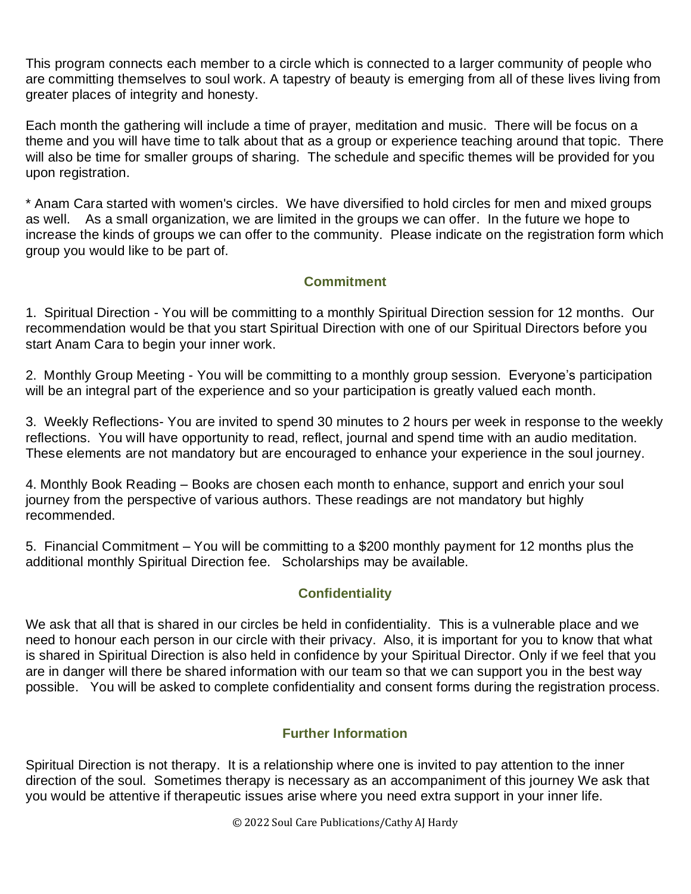This program connects each member to a circle which is connected to a larger community of people who are committing themselves to soul work. A tapestry of beauty is emerging from all of these lives living from greater places of integrity and honesty.

Each month the gathering will include a time of prayer, meditation and music. There will be focus on a theme and you will have time to talk about that as a group or experience teaching around that topic. There will also be time for smaller groups of sharing. The schedule and specific themes will be provided for you upon registration.

\* Anam Cara started with women's circles. We have diversified to hold circles for men and mixed groups as well. As a small organization, we are limited in the groups we can offer. In the future we hope to increase the kinds of groups we can offer to the community. Please indicate on the registration form which group you would like to be part of.

#### **Commitment**

1. Spiritual Direction - You will be committing to a monthly Spiritual Direction session for 12 months. Our recommendation would be that you start Spiritual Direction with one of our Spiritual Directors before you start Anam Cara to begin your inner work.

2. Monthly Group Meeting - You will be committing to a monthly group session. Everyone's participation will be an integral part of the experience and so your participation is greatly valued each month.

3. Weekly Reflections- You are invited to spend 30 minutes to 2 hours per week in response to the weekly reflections. You will have opportunity to read, reflect, journal and spend time with an audio meditation. These elements are not mandatory but are encouraged to enhance your experience in the soul journey.

4. Monthly Book Reading – Books are chosen each month to enhance, support and enrich your soul journey from the perspective of various authors. These readings are not mandatory but highly recommended.

5. Financial Commitment – You will be committing to a \$200 monthly payment for 12 months plus the additional monthly Spiritual Direction fee. Scholarships may be available.

## **Confidentiality**

We ask that all that is shared in our circles be held in confidentiality. This is a vulnerable place and we need to honour each person in our circle with their privacy. Also, it is important for you to know that what is shared in Spiritual Direction is also held in confidence by your Spiritual Director. Only if we feel that you are in danger will there be shared information with our team so that we can support you in the best way possible. You will be asked to complete confidentiality and consent forms during the registration process.

#### **Further Information**

Spiritual Direction is not therapy. It is a relationship where one is invited to pay attention to the inner direction of the soul. Sometimes therapy is necessary as an accompaniment of this journey We ask that you would be attentive if therapeutic issues arise where you need extra support in your inner life.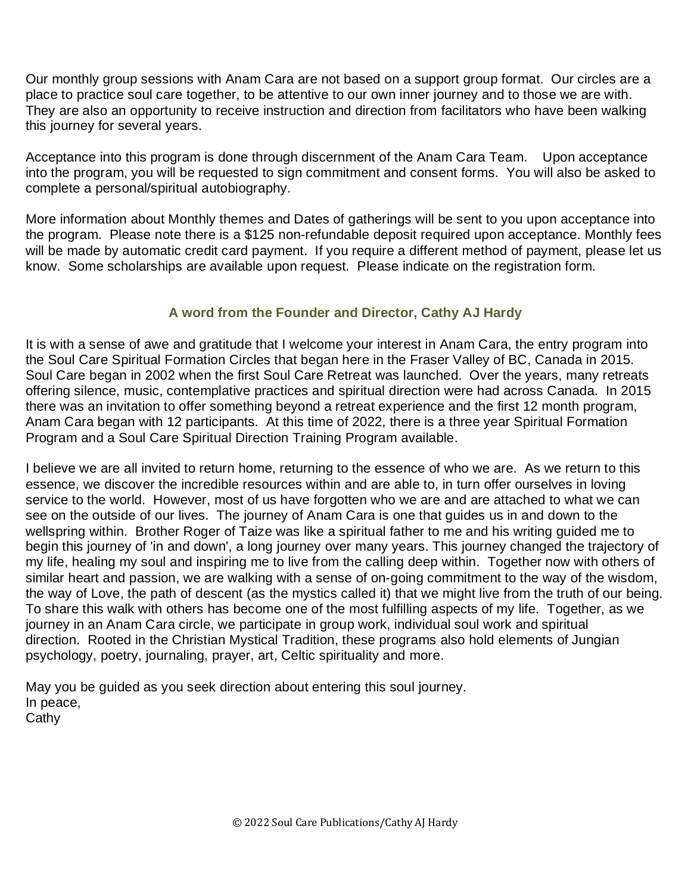Our monthly group sessions with Anam Cara are not based on a support group format. Our circles are a place to practice soul care together, to be attentive to our own inner journey and to those we are with. They are also an opportunity to receive instruction and direction from facilitators who have been walking this journey for several years.

Acceptance into this program is done through discernment of the Anam Cara Team. Upon acceptance into the program, you will be requested to sign commitment and consent forms. You will also be asked to complete a personal/spiritual autobiography.

More information about Monthly themes and Dates of gatherings will be sent to you upon acceptance into the program. Please note there is a \$125 non-refundable deposit required upon acceptance. Monthly fees will be made by automatic credit card payment. If you require a different method of payment, please let us know. Some scholarships are available upon request. Please indicate on the registration form.

#### **A word from the Founder and Director, Cathy AJ Hardy**

It is with a sense of awe and gratitude that I welcome your interest in Anam Cara, the entry program into the Soul Care Spiritual Formation Circles that began here in the Fraser Valley of BC, Canada in 2015. Soul Care began in 2002 when the first Soul Care Retreat was launched. Over the years, many retreats offering silence, music, contemplative practices and spiritual direction were had across Canada. In 2015 there was an invitation to offer something beyond a retreat experience and the first 12 month program, Anam Cara began with 12 participants. At this time of 2022, there is a three year Spiritual Formation Program and a Soul Care Spiritual Direction Training Program available.

I believe we are all invited to return home, returning to the essence of who we are. As we return to this essence, we discover the incredible resources within and are able to, in turn offer ourselves in loving service to the world. However, most of us have forgotten who we are and are attached to what we can see on the outside of our lives. The journey of Anam Cara is one that guides us in and down to the wellspring within. Brother Roger of Taize was like a spiritual father to me and his writing guided me to begin this journey of 'in and down', a long journey over many years. This journey changed the trajectory of my life, healing my soul and inspiring me to live from the calling deep within. Together now with others of similar heart and passion, we are walking with a sense of on-going commitment to the way of the wisdom, the way of Love, the path of descent (as the mystics called it) that we might live from the truth of our being. To share this walk with others has become one of the most fulfilling aspects of my life. Together, as we journey in an Anam Cara circle, we participate in group work, individual soul work and spiritual direction. Rooted in the Christian Mystical Tradition, these programs also hold elements of Jungian psychology, poetry, journaling, prayer, art, Celtic spirituality and more.

May you be guided as you seek direction about entering this soul journey. In peace, **Cathy**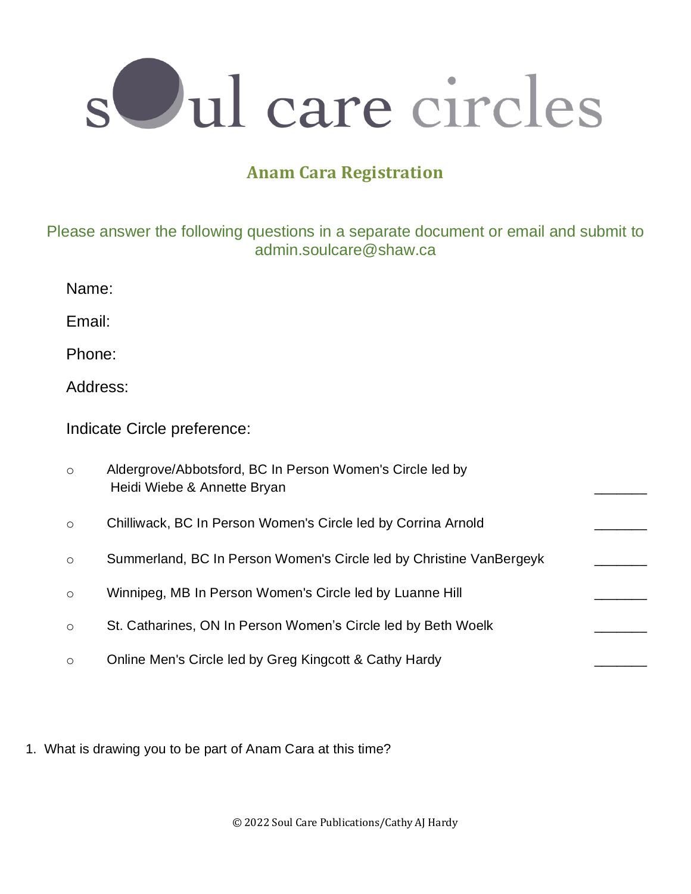

# **Anam Cara Registration**

## Please answer the following questions in a separate document or email and submit to admin.soulcare@shaw.ca

| Email:                      |                                                                                          |  |
|-----------------------------|------------------------------------------------------------------------------------------|--|
| Phone:                      |                                                                                          |  |
| Address:                    |                                                                                          |  |
| Indicate Circle preference: |                                                                                          |  |
| $\circ$                     | Aldergrove/Abbotsford, BC In Person Women's Circle led by<br>Heidi Wiebe & Annette Bryan |  |
| $\circlearrowright$         | Chilliwack, BC In Person Women's Circle led by Corrina Arnold                            |  |
| $\circ$                     | Summerland, BC In Person Women's Circle led by Christine VanBergeyk                      |  |
| $\circ$                     | Winnipeg, MB In Person Women's Circle led by Luanne Hill                                 |  |
| $\circlearrowright$         | St. Catharines, ON In Person Women's Circle led by Beth Woelk                            |  |
| $\circ$                     | Online Men's Circle led by Greg Kingcott & Cathy Hardy                                   |  |

1. What is drawing you to be part of Anam Cara at this time?

Name: